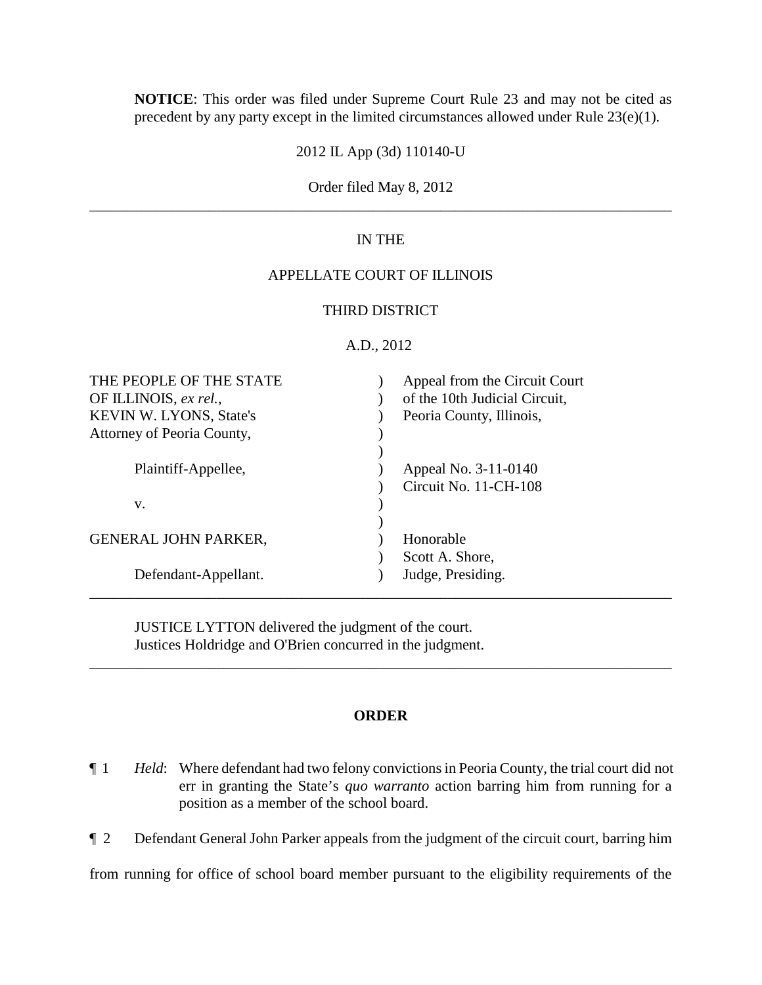**NOTICE**: This order was filed under Supreme Court Rule 23 and may not be cited as precedent by any party except in the limited circumstances allowed under Rule 23(e)(1).

2012 IL App (3d) 110140-U

Order filed May 8, 2012 \_\_\_\_\_\_\_\_\_\_\_\_\_\_\_\_\_\_\_\_\_\_\_\_\_\_\_\_\_\_\_\_\_\_\_\_\_\_\_\_\_\_\_\_\_\_\_\_\_\_\_\_\_\_\_\_\_\_\_\_\_\_\_\_\_\_\_\_\_\_\_\_\_\_\_\_\_\_

# IN THE

# APPELLATE COURT OF ILLINOIS

# THIRD DISTRICT

# A.D., 2012

| THE PEOPLE OF THE STATE<br>OF ILLINOIS, ex rel.,<br>KEVIN W. LYONS, State's<br>Attorney of Peoria County, | Appeal from the Circuit Court<br>of the 10th Judicial Circuit,<br>Peoria County, Illinois, |
|-----------------------------------------------------------------------------------------------------------|--------------------------------------------------------------------------------------------|
| Plaintiff-Appellee,                                                                                       | Appeal No. 3-11-0140<br>Circuit No. 11-CH-108                                              |
| V.                                                                                                        |                                                                                            |
| <b>GENERAL JOHN PARKER,</b>                                                                               | Honorable<br>Scott A. Shore,                                                               |
| Defendant-Appellant.                                                                                      | Judge, Presiding.                                                                          |

JUSTICE LYTTON delivered the judgment of the court. Justices Holdridge and O'Brien concurred in the judgment.

## **ORDER**

\_\_\_\_\_\_\_\_\_\_\_\_\_\_\_\_\_\_\_\_\_\_\_\_\_\_\_\_\_\_\_\_\_\_\_\_\_\_\_\_\_\_\_\_\_\_\_\_\_\_\_\_\_\_\_\_\_\_\_\_\_\_\_\_\_\_\_\_\_\_\_\_\_\_\_\_\_\_

- ¶ 1 *Held*: Where defendant had two felony convictions in Peoria County, the trial court did not err in granting the State's *quo warranto* action barring him from running for a position as a member of the school board.
- ¶ 2 Defendant General John Parker appeals from the judgment of the circuit court, barring him

from running for office of school board member pursuant to the eligibility requirements of the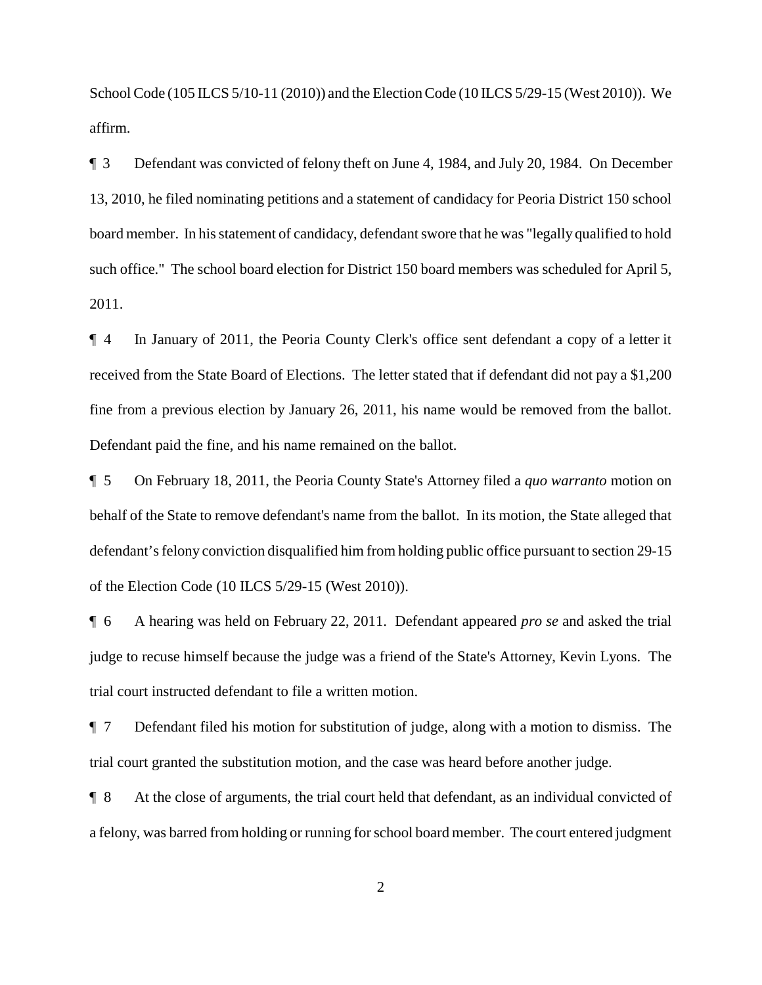School Code (105 ILCS 5/10-11 (2010)) and the Election Code (10 ILCS 5/29-15 (West 2010)). We affirm.

¶ 3 Defendant was convicted of felony theft on June 4, 1984, and July 20, 1984. On December 13, 2010, he filed nominating petitions and a statement of candidacy for Peoria District 150 school board member. In his statement of candidacy, defendant swore that he was "legally qualified to hold such office." The school board election for District 150 board members was scheduled for April 5, 2011.

¶ 4 In January of 2011, the Peoria County Clerk's office sent defendant a copy of a letter it received from the State Board of Elections. The letter stated that if defendant did not pay a \$1,200 fine from a previous election by January 26, 2011, his name would be removed from the ballot. Defendant paid the fine, and his name remained on the ballot.

¶ 5 On February 18, 2011, the Peoria County State's Attorney filed a *quo warranto* motion on behalf of the State to remove defendant's name from the ballot. In its motion, the State alleged that defendant's felony conviction disqualified him from holding public office pursuant to section 29-15 of the Election Code (10 ILCS 5/29-15 (West 2010)).

¶ 6 A hearing was held on February 22, 2011. Defendant appeared *pro se* and asked the trial judge to recuse himself because the judge was a friend of the State's Attorney, Kevin Lyons. The trial court instructed defendant to file a written motion.

¶ 7 Defendant filed his motion for substitution of judge, along with a motion to dismiss. The trial court granted the substitution motion, and the case was heard before another judge.

¶ 8 At the close of arguments, the trial court held that defendant, as an individual convicted of a felony, was barred from holding or running for school board member. The court entered judgment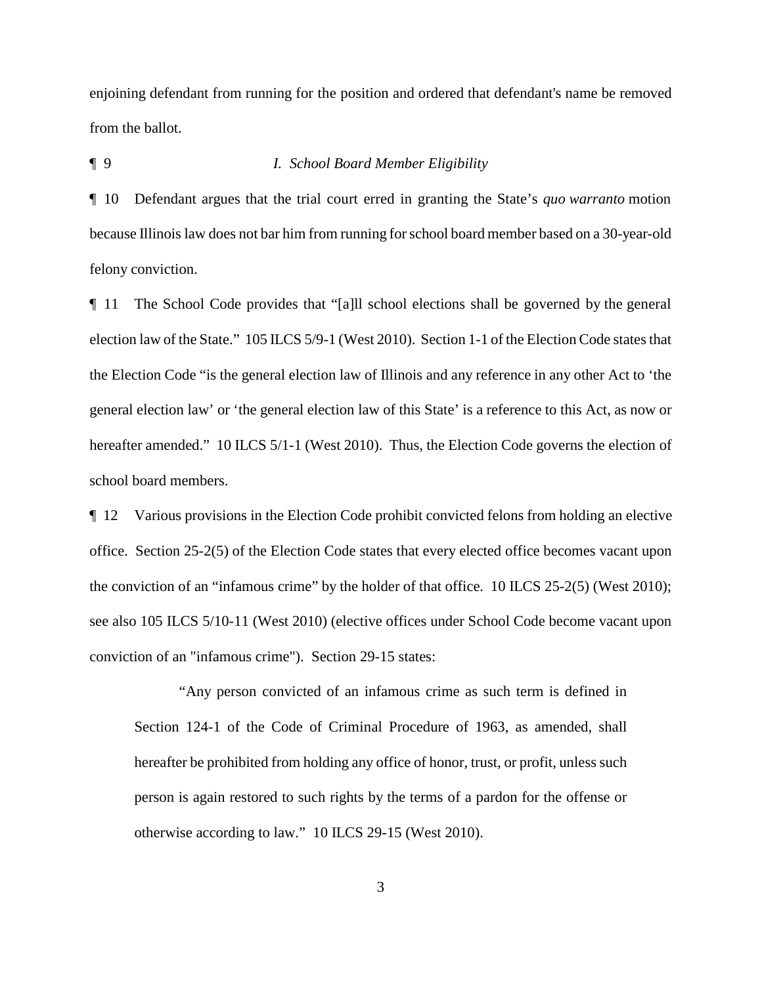enjoining defendant from running for the position and ordered that defendant's name be removed from the ballot.

## ¶ 9 *I. School Board Member Eligibility*

¶ 10 Defendant argues that the trial court erred in granting the State's *quo warranto* motion because Illinois law does not bar him from running for school board member based on a 30-year-old felony conviction.

¶ 11 The School Code provides that "[a]ll school elections shall be governed by the general election law of the State." 105 ILCS 5/9-1 (West 2010). Section 1-1 of the Election Code states that the Election Code "is the general election law of Illinois and any reference in any other Act to 'the general election law' or 'the general election law of this State' is a reference to this Act, as now or hereafter amended." 10 ILCS 5/1-1 (West 2010). Thus, the Election Code governs the election of school board members.

¶ 12 Various provisions in the Election Code prohibit convicted felons from holding an elective office. Section 25-2(5) of the Election Code states that every elected office becomes vacant upon the conviction of an "infamous crime" by the holder of that office. 10 ILCS 25-2(5) (West 2010); see also 105 ILCS 5/10-11 (West 2010) (elective offices under School Code become vacant upon conviction of an "infamous crime"). Section 29-15 states:

"Any person convicted of an infamous crime as such term is defined in Section 124-1 of the Code of Criminal Procedure of 1963, as amended, shall hereafter be prohibited from holding any office of honor, trust, or profit, unless such person is again restored to such rights by the terms of a pardon for the offense or otherwise according to law." 10 ILCS 29-15 (West 2010).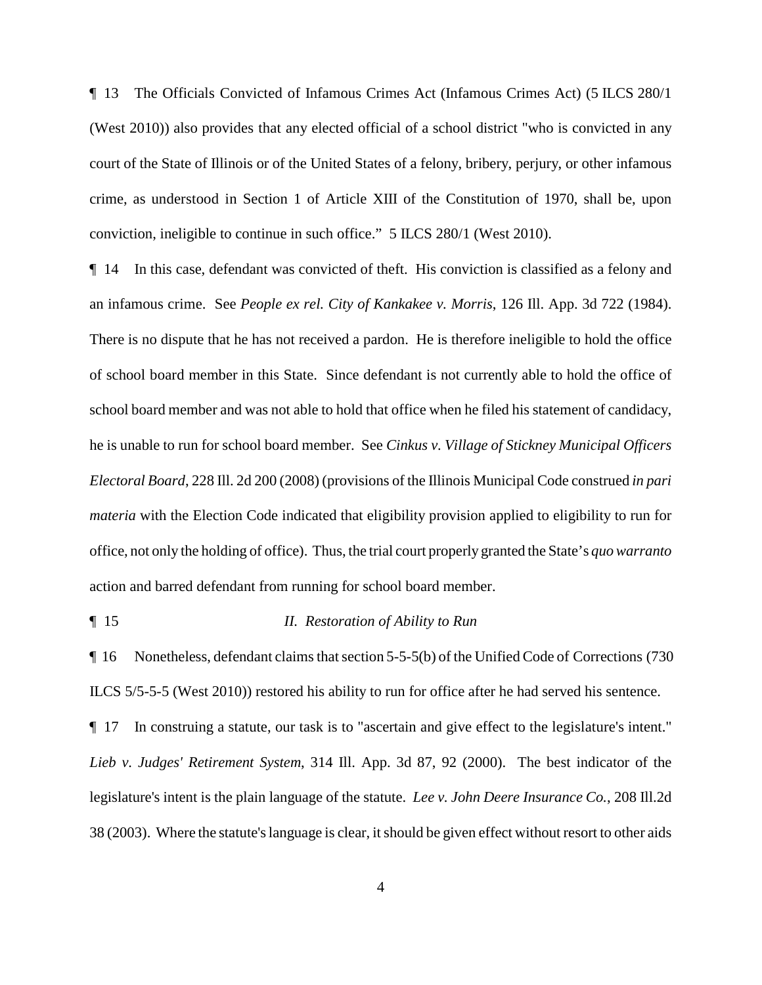¶ 13 The Officials Convicted of Infamous Crimes Act (Infamous Crimes Act) (5 ILCS 280/1 (West 2010)) also provides that any elected official of a school district "who is convicted in any court of the State of Illinois or of the United States of a felony, bribery, perjury, or other infamous crime, as understood in Section 1 of Article XIII of the Constitution of 1970, shall be, upon conviction, ineligible to continue in such office." 5 ILCS 280/1 (West 2010).

¶ 14 In this case, defendant was convicted of theft. His conviction is classified as a felony and an infamous crime. See *People ex rel. City of Kankakee v. Morris*, 126 Ill. App. 3d 722 (1984). There is no dispute that he has not received a pardon. He is therefore ineligible to hold the office of school board member in this State. Since defendant is not currently able to hold the office of school board member and was not able to hold that office when he filed his statement of candidacy, he is unable to run for school board member. See *Cinkus v. Village of Stickney Municipal Officers Electoral Board*, 228 Ill. 2d 200 (2008) (provisions of the Illinois Municipal Code construed *in pari materia* with the Election Code indicated that eligibility provision applied to eligibility to run for office, not only the holding of office). Thus, the trial court properly granted the State's *quo warranto* action and barred defendant from running for school board member.

### ¶ 15 *II. Restoration of Ability to Run*

¶ 16 Nonetheless, defendant claims that section 5-5-5(b) of the Unified Code of Corrections (730 ILCS 5/5-5-5 (West 2010)) restored his ability to run for office after he had served his sentence.

¶ 17 In construing a statute, our task is to "ascertain and give effect to the legislature's intent." *Lieb v. Judges' Retirement System*, 314 Ill. App. 3d 87, 92 (2000). The best indicator of the legislature's intent is the plain language of the statute. *Lee v. John Deere Insurance Co.*, 208 Ill.2d 38 (2003). Where the statute's language is clear, it should be given effect without resort to other aids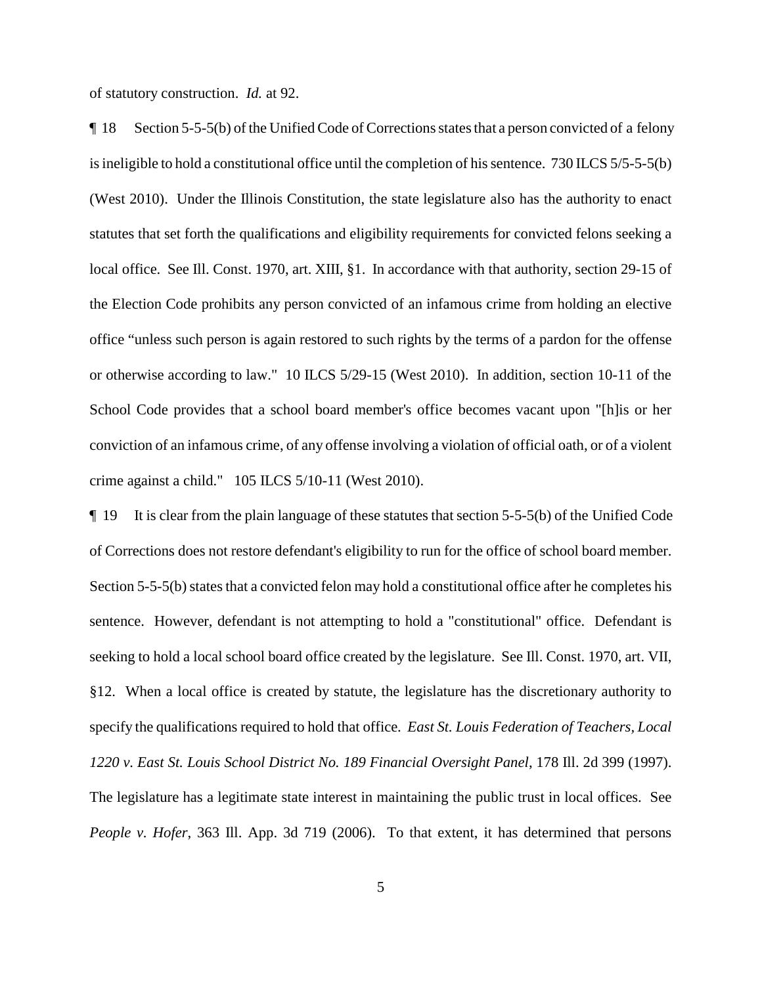of statutory construction. *Id.* at 92.

¶ 18 Section 5-5-5(b) of the Unified Code of Corrections states that a person convicted of a felony is ineligible to hold a constitutional office until the completion of his sentence. 730 ILCS 5/5-5-5(b) (West 2010). Under the Illinois Constitution, the state legislature also has the authority to enact statutes that set forth the qualifications and eligibility requirements for convicted felons seeking a local office. See Ill. Const. 1970, art. XIII, §1. In accordance with that authority, section 29-15 of the Election Code prohibits any person convicted of an infamous crime from holding an elective office "unless such person is again restored to such rights by the terms of a pardon for the offense or otherwise according to law." 10 ILCS 5/29-15 (West 2010). In addition, section 10-11 of the School Code provides that a school board member's office becomes vacant upon "[h]is or her conviction of an infamous crime, of any offense involving a violation of official oath, or of a violent crime against a child." 105 ILCS 5/10-11 (West 2010).

¶ 19 It is clear from the plain language of these statutes that section 5-5-5(b) of the Unified Code of Corrections does not restore defendant's eligibility to run for the office of school board member. Section 5-5-5(b) states that a convicted felon may hold a constitutional office after he completes his sentence. However, defendant is not attempting to hold a "constitutional" office. Defendant is seeking to hold a local school board office created by the legislature. See Ill. Const. 1970, art. VII, §12. When a local office is created by statute, the legislature has the discretionary authority to specify the qualifications required to hold that office. *East St. Louis Federation of Teachers, Local 1220 v. East St. Louis School District No. 189 Financial Oversight Panel*, 178 Ill. 2d 399 (1997). The legislature has a legitimate state interest in maintaining the public trust in local offices. See *People v. Hofer*, 363 Ill. App. 3d 719 (2006). To that extent, it has determined that persons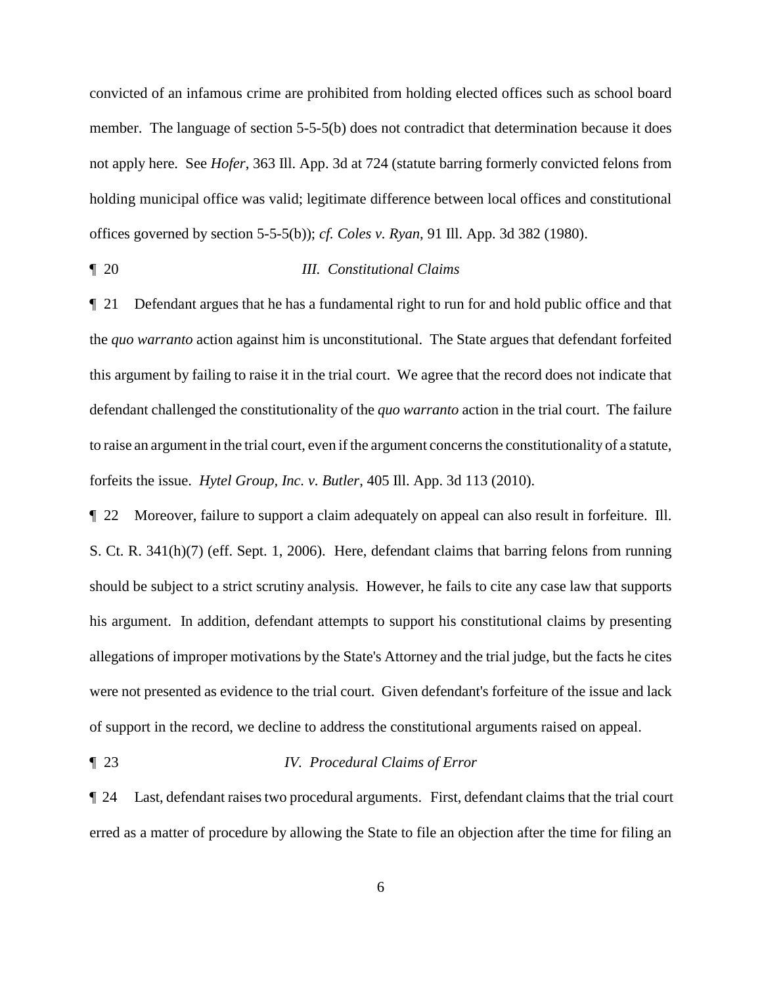convicted of an infamous crime are prohibited from holding elected offices such as school board member. The language of section 5-5-5(b) does not contradict that determination because it does not apply here. See *Hofer*, 363 Ill. App. 3d at 724 (statute barring formerly convicted felons from holding municipal office was valid; legitimate difference between local offices and constitutional offices governed by section 5-5-5(b)); *cf. Coles v. Ryan*, 91 Ill. App. 3d 382 (1980).

# ¶ 20 *III. Constitutional Claims*

¶ 21 Defendant argues that he has a fundamental right to run for and hold public office and that the *quo warranto* action against him is unconstitutional. The State argues that defendant forfeited this argument by failing to raise it in the trial court. We agree that the record does not indicate that defendant challenged the constitutionality of the *quo warranto* action in the trial court. The failure to raise an argument in the trial court, even if the argument concerns the constitutionality of a statute, forfeits the issue. *Hytel Group, Inc. v. Butler*, 405 Ill. App. 3d 113 (2010).

¶ 22 Moreover, failure to support a claim adequately on appeal can also result in forfeiture. Ill. S. Ct. R. 341(h)(7) (eff. Sept. 1, 2006). Here, defendant claims that barring felons from running should be subject to a strict scrutiny analysis. However, he fails to cite any case law that supports his argument. In addition, defendant attempts to support his constitutional claims by presenting allegations of improper motivations by the State's Attorney and the trial judge, but the facts he cites were not presented as evidence to the trial court. Given defendant's forfeiture of the issue and lack of support in the record, we decline to address the constitutional arguments raised on appeal.

# ¶ 23 *IV. Procedural Claims of Error*

¶ 24 Last, defendant raises two procedural arguments. First, defendant claims that the trial court erred as a matter of procedure by allowing the State to file an objection after the time for filing an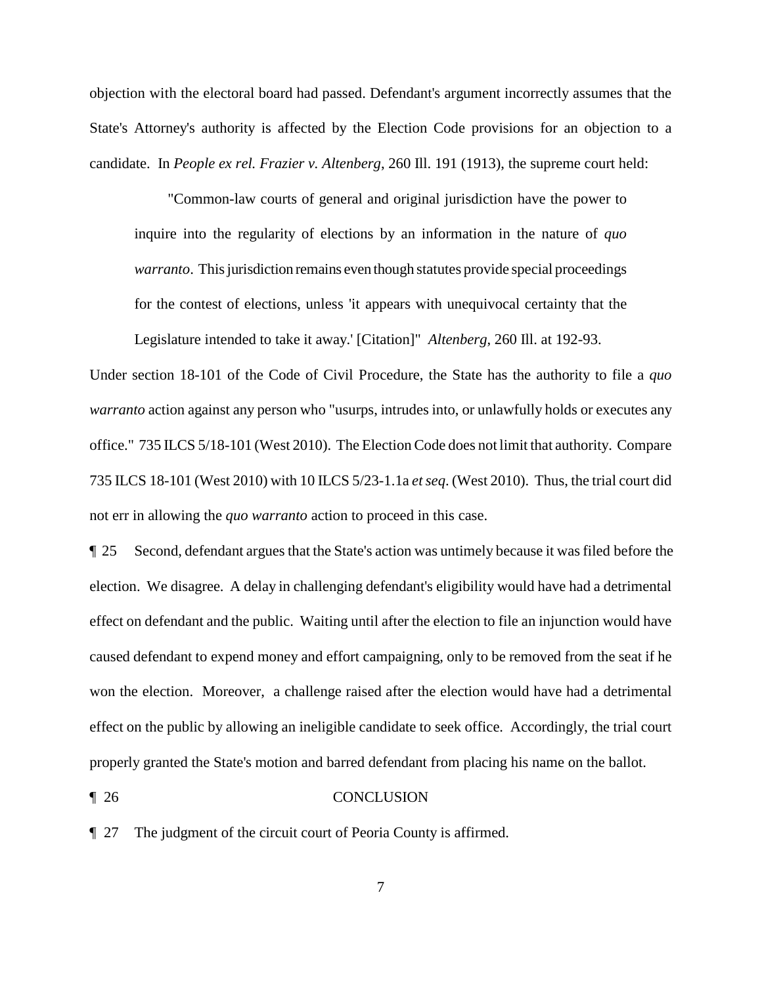objection with the electoral board had passed. Defendant's argument incorrectly assumes that the State's Attorney's authority is affected by the Election Code provisions for an objection to a candidate. In *People ex rel. Frazier v. Altenberg*, 260 Ill. 191 (1913), the supreme court held:

"Common-law courts of general and original jurisdiction have the power to inquire into the regularity of elections by an information in the nature of *quo warranto*. This jurisdiction remains even though statutes provide special proceedings for the contest of elections, unless 'it appears with unequivocal certainty that the Legislature intended to take it away.' [Citation]" *Altenberg*, 260 Ill. at 192-93.

Under section 18-101 of the Code of Civil Procedure, the State has the authority to file a *quo warranto* action against any person who "usurps, intrudes into, or unlawfully holds or executes any office." 735 ILCS 5/18-101 (West 2010). The Election Code does not limit that authority. Compare 735 ILCS 18-101 (West 2010) with 10 ILCS 5/23-1.1a *et seq*. (West 2010). Thus, the trial court did not err in allowing the *quo warranto* action to proceed in this case.

¶ 25 Second, defendant argues that the State's action was untimely because it was filed before the election. We disagree. A delay in challenging defendant's eligibility would have had a detrimental effect on defendant and the public. Waiting until after the election to file an injunction would have caused defendant to expend money and effort campaigning, only to be removed from the seat if he won the election. Moreover, a challenge raised after the election would have had a detrimental effect on the public by allowing an ineligible candidate to seek office. Accordingly, the trial court properly granted the State's motion and barred defendant from placing his name on the ballot.

### ¶ 26 CONCLUSION

¶ 27 The judgment of the circuit court of Peoria County is affirmed.